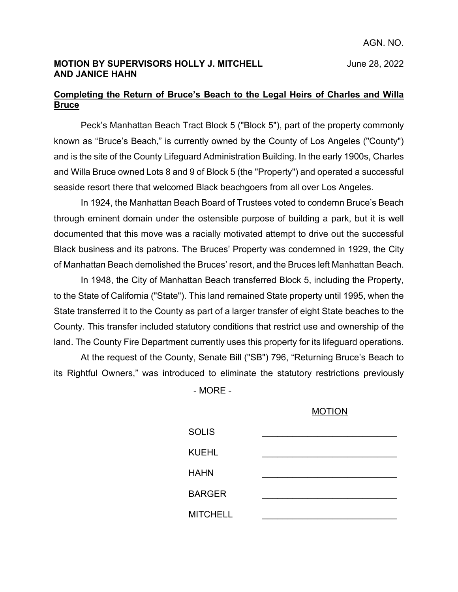### **MOTION BY SUPERVISORS HOLLY J. MITCHELL** June 28, 2022 **AND JANICE HAHN**

## **Completing the Return of Bruce's Beach to the Legal Heirs of Charles and Willa Bruce**

Peck's Manhattan Beach Tract Block 5 ("Block 5"), part of the property commonly known as "Bruce's Beach," is currently owned by the County of Los Angeles ("County") and is the site of the County Lifeguard Administration Building. In the early 1900s, Charles and Willa Bruce owned Lots 8 and 9 of Block 5 (the "Property") and operated a successful seaside resort there that welcomed Black beachgoers from all over Los Angeles.

In 1924, the Manhattan Beach Board of Trustees voted to condemn Bruce's Beach through eminent domain under the ostensible purpose of building a park, but it is well documented that this move was a racially motivated attempt to drive out the successful Black business and its patrons. The Bruces' Property was condemned in 1929, the City of Manhattan Beach demolished the Bruces' resort, and the Bruces left Manhattan Beach.

In 1948, the City of Manhattan Beach transferred Block 5, including the Property, to the State of California ("State"). This land remained State property until 1995, when the State transferred it to the County as part of a larger transfer of eight State beaches to the County. This transfer included statutory conditions that restrict use and ownership of the land. The County Fire Department currently uses this property for its lifeguard operations.

At the request of the County, Senate Bill ("SB") 796, "Returning Bruce's Beach to its Rightful Owners," was introduced to eliminate the statutory restrictions previously

- MORE -

### MOTION

| <b>SOLIS</b>    |  |
|-----------------|--|
| <b>KUEHL</b>    |  |
| <b>HAHN</b>     |  |
| <b>BARGER</b>   |  |
| <b>MITCHELL</b> |  |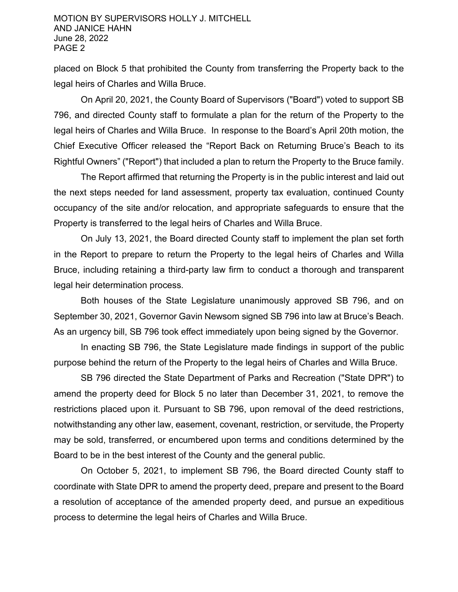placed on Block 5 that prohibited the County from transferring the Property back to the legal heirs of Charles and Willa Bruce.

On April 20, 2021, the County Board of Supervisors ("Board") voted to support SB 796, and directed County staff to formulate a plan for the return of the Property to the legal heirs of Charles and Willa Bruce. In response to the Board's April 20th motion, the Chief Executive Officer released the "Report Back on Returning Bruce's Beach to its Rightful Owners" ("Report") that included a plan to return the Property to the Bruce family.

The Report affirmed that returning the Property is in the public interest and laid out the next steps needed for land assessment, property tax evaluation, continued County occupancy of the site and/or relocation, and appropriate safeguards to ensure that the Property is transferred to the legal heirs of Charles and Willa Bruce.

On July 13, 2021, the Board directed County staff to implement the plan set forth in the Report to prepare to return the Property to the legal heirs of Charles and Willa Bruce, including retaining a third-party law firm to conduct a thorough and transparent legal heir determination process.

Both houses of the State Legislature unanimously approved SB 796, and on September 30, 2021, Governor Gavin Newsom signed SB 796 into law at Bruce's Beach. As an urgency bill, SB 796 took effect immediately upon being signed by the Governor.

In enacting SB 796, the State Legislature made findings in support of the public purpose behind the return of the Property to the legal heirs of Charles and Willa Bruce.

SB 796 directed the State Department of Parks and Recreation ("State DPR") to amend the property deed for Block 5 no later than December 31, 2021, to remove the restrictions placed upon it. Pursuant to SB 796, upon removal of the deed restrictions, notwithstanding any other law, easement, covenant, restriction, or servitude, the Property may be sold, transferred, or encumbered upon terms and conditions determined by the Board to be in the best interest of the County and the general public.

On October 5, 2021, to implement SB 796, the Board directed County staff to coordinate with State DPR to amend the property deed, prepare and present to the Board a resolution of acceptance of the amended property deed, and pursue an expeditious process to determine the legal heirs of Charles and Willa Bruce.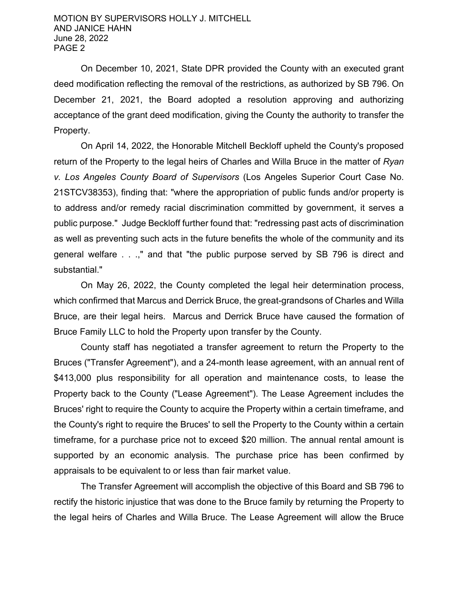On December 10, 2021, State DPR provided the County with an executed grant deed modification reflecting the removal of the restrictions, as authorized by SB 796. On December 21, 2021, the Board adopted a resolution approving and authorizing acceptance of the grant deed modification, giving the County the authority to transfer the Property.

On April 14, 2022, the Honorable Mitchell Beckloff upheld the County's proposed return of the Property to the legal heirs of Charles and Willa Bruce in the matter of *Ryan v. Los Angeles County Board of Supervisors* (Los Angeles Superior Court Case No. 21STCV38353), finding that: "where the appropriation of public funds and/or property is to address and/or remedy racial discrimination committed by government, it serves a public purpose." Judge Beckloff further found that: "redressing past acts of discrimination as well as preventing such acts in the future benefits the whole of the community and its general welfare . . .," and that "the public purpose served by SB 796 is direct and substantial."

On May 26, 2022, the County completed the legal heir determination process, which confirmed that Marcus and Derrick Bruce, the great-grandsons of Charles and Willa Bruce, are their legal heirs. Marcus and Derrick Bruce have caused the formation of Bruce Family LLC to hold the Property upon transfer by the County.

County staff has negotiated a transfer agreement to return the Property to the Bruces ("Transfer Agreement"), and a 24-month lease agreement, with an annual rent of \$413,000 plus responsibility for all operation and maintenance costs, to lease the Property back to the County ("Lease Agreement"). The Lease Agreement includes the Bruces' right to require the County to acquire the Property within a certain timeframe, and the County's right to require the Bruces' to sell the Property to the County within a certain timeframe, for a purchase price not to exceed \$20 million. The annual rental amount is supported by an economic analysis. The purchase price has been confirmed by appraisals to be equivalent to or less than fair market value.

The Transfer Agreement will accomplish the objective of this Board and SB 796 to rectify the historic injustice that was done to the Bruce family by returning the Property to the legal heirs of Charles and Willa Bruce. The Lease Agreement will allow the Bruce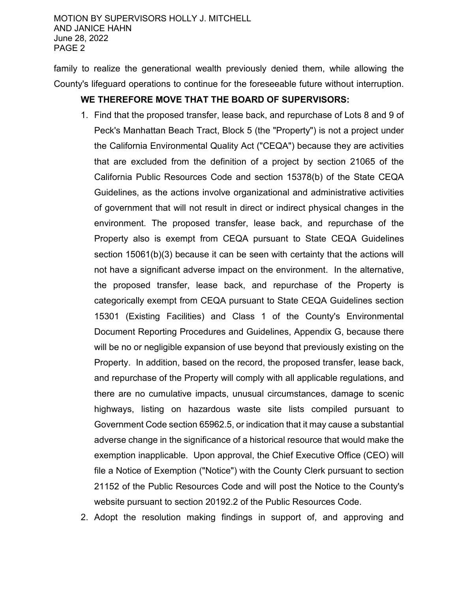family to realize the generational wealth previously denied them, while allowing the County's lifeguard operations to continue for the foreseeable future without interruption.

# **WE THEREFORE MOVE THAT THE BOARD OF SUPERVISORS:**

- 1. Find that the proposed transfer, lease back, and repurchase of Lots 8 and 9 of Peck's Manhattan Beach Tract, Block 5 (the "Property") is not a project under the California Environmental Quality Act ("CEQA") because they are activities that are excluded from the definition of a project by section 21065 of the California Public Resources Code and section 15378(b) of the State CEQA Guidelines, as the actions involve organizational and administrative activities of government that will not result in direct or indirect physical changes in the environment. The proposed transfer, lease back, and repurchase of the Property also is exempt from CEQA pursuant to State CEQA Guidelines section 15061(b)(3) because it can be seen with certainty that the actions will not have a significant adverse impact on the environment. In the alternative, the proposed transfer, lease back, and repurchase of the Property is categorically exempt from CEQA pursuant to State CEQA Guidelines section 15301 (Existing Facilities) and Class 1 of the County's Environmental Document Reporting Procedures and Guidelines, Appendix G, because there will be no or negligible expansion of use beyond that previously existing on the Property. In addition, based on the record, the proposed transfer, lease back, and repurchase of the Property will comply with all applicable regulations, and there are no cumulative impacts, unusual circumstances, damage to scenic highways, listing on hazardous waste site lists compiled pursuant to Government Code section 65962.5, or indication that it may cause a substantial adverse change in the significance of a historical resource that would make the exemption inapplicable. Upon approval, the Chief Executive Office (CEO) will file a Notice of Exemption ("Notice") with the County Clerk pursuant to section 21152 of the Public Resources Code and will post the Notice to the County's website pursuant to section 20192.2 of the Public Resources Code.
- 2. Adopt the resolution making findings in support of, and approving and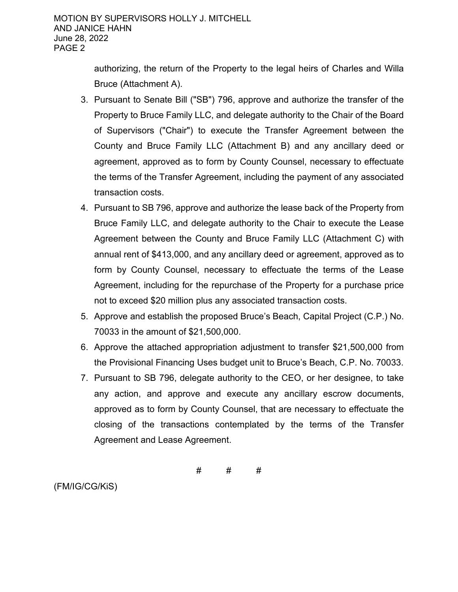authorizing, the return of the Property to the legal heirs of Charles and Willa Bruce (Attachment A).

- 3. Pursuant to Senate Bill ("SB") 796, approve and authorize the transfer of the Property to Bruce Family LLC, and delegate authority to the Chair of the Board of Supervisors ("Chair") to execute the Transfer Agreement between the County and Bruce Family LLC (Attachment B) and any ancillary deed or agreement, approved as to form by County Counsel, necessary to effectuate the terms of the Transfer Agreement, including the payment of any associated transaction costs.
- 4. Pursuant to SB 796, approve and authorize the lease back of the Property from Bruce Family LLC, and delegate authority to the Chair to execute the Lease Agreement between the County and Bruce Family LLC (Attachment C) with annual rent of \$413,000, and any ancillary deed or agreement, approved as to form by County Counsel, necessary to effectuate the terms of the Lease Agreement, including for the repurchase of the Property for a purchase price not to exceed \$20 million plus any associated transaction costs.
- 5. Approve and establish the proposed Bruce's Beach, Capital Project (C.P.) No. 70033 in the amount of \$21,500,000.
- 6. Approve the attached appropriation adjustment to transfer \$21,500,000 from the Provisional Financing Uses budget unit to Bruce's Beach, C.P. No. 70033.
- 7. Pursuant to SB 796, delegate authority to the CEO, or her designee, to take any action, and approve and execute any ancillary escrow documents, approved as to form by County Counsel, that are necessary to effectuate the closing of the transactions contemplated by the terms of the Transfer Agreement and Lease Agreement.

# # #

(FM/IG/CG/KiS)